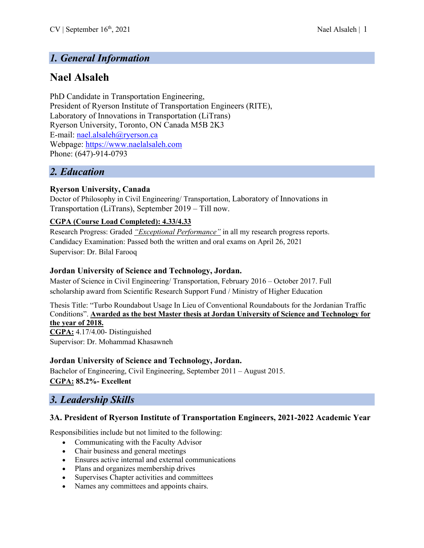# *1. General Information*

# **Nael Alsaleh**

PhD Candidate in Transportation Engineering, President of Ryerson Institute of Transportation Engineers (RITE), Laboratory of Innovations in Transportation (LiTrans) Ryerson University, Toronto, ON Canada M5B 2K3 E-mail: nael.alsaleh@ryerson.ca Webpage: https://www.naelalsaleh.com Phone: (647)-914-0793

## *2. Education*

### **Ryerson University, Canada**

Doctor of Philosophy in Civil Engineering/ Transportation, Laboratory of Innovations in Transportation (LiTrans), September 2019 – Till now.

### **CGPA (Course Load Completed): 4.33/4.33**

Research Progress: Graded *"Exceptional Performance"* in all my research progress reports. Candidacy Examination: Passed both the written and oral exams on April 26, 2021 Supervisor: Dr. Bilal Farooq

### **Jordan University of Science and Technology, Jordan.**

Master of Science in Civil Engineering/ Transportation, February 2016 – October 2017. Full scholarship award from Scientific Research Support Fund / Ministry of Higher Education

Thesis Title: "Turbo Roundabout Usage In Lieu of Conventional Roundabouts for the Jordanian Traffic Conditions". **Awarded as the best Master thesis at Jordan University of Science and Technology for the year of 2018. CGPA:** 4.17/4.00- Distinguished

Supervisor: Dr. Mohammad Khasawneh

### **Jordan University of Science and Technology, Jordan.**

Bachelor of Engineering, Civil Engineering, September 2011 – August 2015. **CGPA: 85.2%- Excellent**

## *3. Leadership Skills*

#### **3A. President of Ryerson Institute of Transportation Engineers, 2021-2022 Academic Year**

Responsibilities include but not limited to the following:

- Communicating with the Faculty Advisor
- Chair business and general meetings
- Ensures active internal and external communications
- Plans and organizes membership drives
- Supervises Chapter activities and committees
- Names any committees and appoints chairs.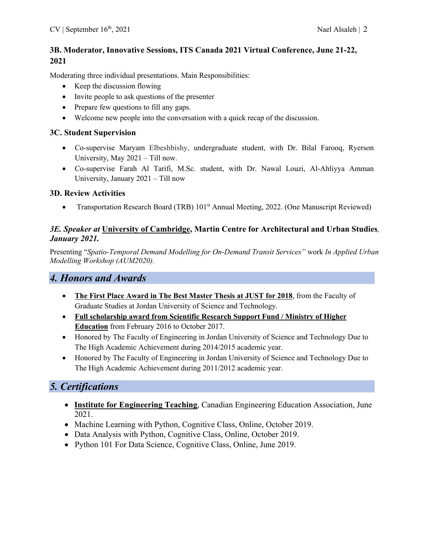### **3B. Moderator, Innovative Sessions, ITS Canada 2021 Virtual Conference, June 21-22, 2021**

Moderating three individual presentations. Main Responsibilities:

- Keep the discussion flowing
- Invite people to ask questions of the presenter
- Prepare few questions to fill any gaps.
- Welcome new people into the conversation with a quick recap of the discussion.

### **3C. Student Supervision**

- Co-supervise Maryam Elbeshbishy, undergraduate student, with Dr. Bilal Farooq, Ryerson University, May 2021 – Till now.
- Co-supervise Farah Al Tarifi, M.Sc. student, with Dr. Nawal Louzi, Al-Ahliyya Amman University, January 2021 – Till now

### **3D. Review Activities**

Transportation Research Board (TRB) 101<sup>st</sup> Annual Meeting, 2022. (One Manuscript Reviewed)

### *3E. Speaker at* **University of Cambridge, Martin Centre for Architectural and Urban Studies***, January 2021.*

Presenting "*Spatio-Temporal Demand Modelling for On-Demand Transit Services"* work *In Applied Urban Modelling Workshop (AUM2020).*

## *4. Honors and Awards*

- **The First Place Award in The Best Master Thesis at JUST for 2018**, from the Faculty of Graduate Studies at Jordan University of Science and Technology.
- **Full scholarship award from Scientific Research Support Fund / Ministry of Higher Education** from February 2016 to October 2017.
- Honored by The Faculty of Engineering in Jordan University of Science and Technology Due to The High Academic Achievement during 2014/2015 academic year.
- Honored by The Faculty of Engineering in Jordan University of Science and Technology Due to The High Academic Achievement during 2011/2012 academic year.

## *5. Certifications*

- **Institute for Engineering Teaching**, Canadian Engineering Education Association, June 2021.
- Machine Learning with Python, Cognitive Class, Online, October 2019.
- Data Analysis with Python, Cognitive Class, Online, October 2019.
- Python 101 For Data Science, Cognitive Class, Online, June 2019.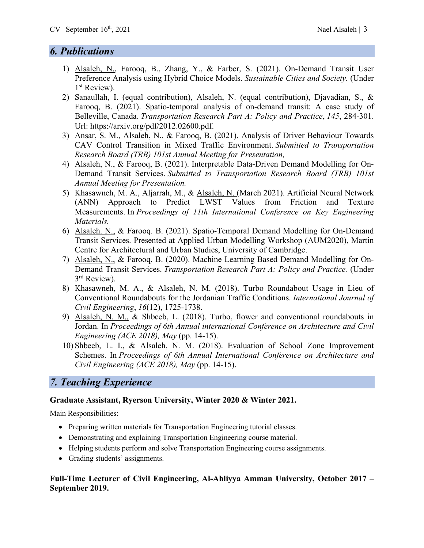## *6. Publications*

- 1) Alsaleh, N., Farooq, B., Zhang, Y., & Farber, S. (2021). On-Demand Transit User Preference Analysis using Hybrid Choice Models. *Sustainable Cities and Society.* (Under 1<sup>st</sup> Review).
- 2) Sanaullah, I. (equal contribution), Alsaleh, N. (equal contribution), Djavadian, S., & Farooq, B. (2021). Spatio-temporal analysis of on-demand transit: A case study of Belleville, Canada. *Transportation Research Part A: Policy and Practice*, *145*, 284-301. Url: https://arxiv.org/pdf/2012.02600.pdf.
- 3) Ansar, S. M., Alsaleh, N., & Farooq, B. (2021). Analysis of Driver Behaviour Towards CAV Control Transition in Mixed Traffic Environment. *Submitted to Transportation Research Board (TRB) 101st Annual Meeting for Presentation,*
- 4) Alsaleh, N., & Farooq, B. (2021). Interpretable Data-Driven Demand Modelling for On-Demand Transit Services. *Submitted to Transportation Research Board (TRB) 101st Annual Meeting for Presentation.*
- 5) Khasawneh, M. A., Aljarrah, M., & Alsaleh, N. (March 2021). Artificial Neural Network (ANN) Approach to Predict LWST Values from Friction and Texture Measurements. In *Proceedings of 11th International Conference on Key Engineering Materials.*
- 6) Alsaleh. N., & Farooq. B. (2021). Spatio-Temporal Demand Modelling for On-Demand Transit Services. Presented at Applied Urban Modelling Workshop (AUM2020), Martin Centre for Architectural and Urban Studies, University of Cambridge.
- 7) Alsaleh, N., & Farooq, B. (2020). Machine Learning Based Demand Modelling for On-Demand Transit Services. *Transportation Research Part A: Policy and Practice.* (Under 3<sup>rd</sup> Review).
- 8) Khasawneh, M. A., & Alsaleh, N. M. (2018). Turbo Roundabout Usage in Lieu of Conventional Roundabouts for the Jordanian Traffic Conditions. *International Journal of Civil Engineering*, *16*(12), 1725-1738.
- 9) Alsaleh, N. M., & Shbeeb, L. (2018). Turbo, flower and conventional roundabouts in Jordan. In *Proceedings of 6th Annual international Conference on Architecture and Civil Engineering (ACE 2018), May* (pp. 14-15).
- 10) Shbeeb, L. I., & Alsaleh, N. M. (2018). Evaluation of School Zone Improvement Schemes. In *Proceedings of 6th Annual International Conference on Architecture and Civil Engineering (ACE 2018), May* (pp. 14-15).

# *7. Teaching Experience*

### **Graduate Assistant, Ryerson University, Winter 2020 & Winter 2021.**

Main Responsibilities:

- Preparing written materials for Transportation Engineering tutorial classes.
- Demonstrating and explaining Transportation Engineering course material.
- Helping students perform and solve Transportation Engineering course assignments.
- Grading students' assignments.

### **Full-Time Lecturer of Civil Engineering, Al-Ahliyya Amman University, October 2017 – September 2019.**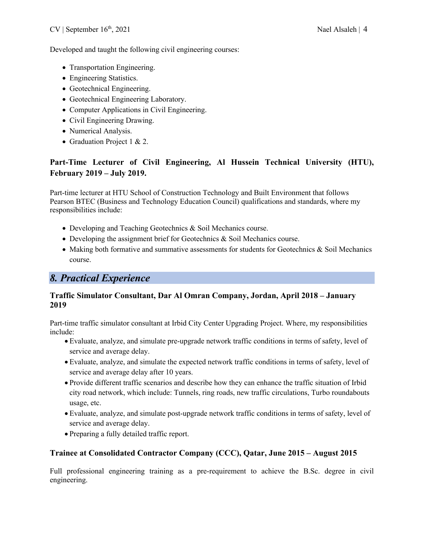### Developed and taught the following civil engineering courses:

- Transportation Engineering.
- Engineering Statistics.
- Geotechnical Engineering.
- Geotechnical Engineering Laboratory.
- Computer Applications in Civil Engineering.
- Civil Engineering Drawing.
- Numerical Analysis.
- Graduation Project 1 & 2.

## **Part-Time Lecturer of Civil Engineering, Al Hussein Technical University (HTU), February 2019 – July 2019.**

Part-time lecturer at HTU School of Construction Technology and Built Environment that follows Pearson BTEC (Business and Technology Education Council) qualifications and standards, where my responsibilities include:

- Developing and Teaching Geotechnics & Soil Mechanics course.
- Developing the assignment brief for Geotechnics & Soil Mechanics course.
- Making both formative and summative assessments for students for Geotechnics & Soil Mechanics course.

# *8. Practical Experience*

### **Traffic Simulator Consultant, Dar Al Omran Company, Jordan, April 2018 – January 2019**

Part-time traffic simulator consultant at Irbid City Center Upgrading Project. Where, my responsibilities include:

- Evaluate, analyze, and simulate pre-upgrade network traffic conditions in terms of safety, level of service and average delay.
- Evaluate, analyze, and simulate the expected network traffic conditions in terms of safety, level of service and average delay after 10 years.
- Provide different traffic scenarios and describe how they can enhance the traffic situation of Irbid city road network, which include: Tunnels, ring roads, new traffic circulations, Turbo roundabouts usage, etc.
- Evaluate, analyze, and simulate post-upgrade network traffic conditions in terms of safety, level of service and average delay.
- Preparing a fully detailed traffic report.

### **Trainee at Consolidated Contractor Company (CCC), Qatar, June 2015 – August 2015**

Full professional engineering training as a pre-requirement to achieve the B.Sc. degree in civil engineering.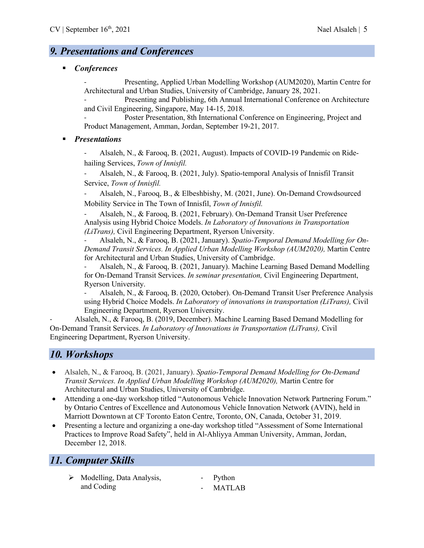## *9. Presentations and Conferences*

§ *Conferences*

- Presenting, Applied Urban Modelling Workshop (AUM2020), Martin Centre for Architectural and Urban Studies, University of Cambridge, January 28, 2021.

Presenting and Publishing, 6th Annual International Conference on Architecture and Civil Engineering, Singapore, May 14-15, 2018.

Poster Presentation, 8th International Conference on Engineering, Project and Product Management, Amman, Jordan, September 19-21, 2017.

#### § *Presentations*

Alsaleh, N., & Farooq, B. (2021, August). Impacts of COVID-19 Pandemic on Ridehailing Services, *Town of Innisfil.*

Alsaleh, N., & Farooq, B. (2021, July). Spatio-temporal Analysis of Innisfil Transit Service, *Town of Innisfil.*

Alsaleh, N., Farooq, B., & Elbeshbishy, M. (2021, June). On-Demand Crowdsourced Mobility Service in The Town of Innisfil, *Town of Innisfil.*

Alsaleh, N., & Farooq, B. (2021, February). On-Demand Transit User Preference Analysis using Hybrid Choice Models. *In Laboratory of Innovations in Transportation (LiTrans),* Civil Engineering Department, Ryerson University.

- Alsaleh, N., & Farooq, B. (2021, January). *Spatio-Temporal Demand Modelling for On-Demand Transit Services. In Applied Urban Modelling Workshop (AUM2020),* Martin Centre for Architectural and Urban Studies, University of Cambridge.

- Alsaleh, N., & Farooq, B. (2021, January). Machine Learning Based Demand Modelling for On-Demand Transit Services. *In seminar presentation,* Civil Engineering Department, Ryerson University.

Alsaleh, N., & Farooq, B. (2020, October). On-Demand Transit User Preference Analysis using Hybrid Choice Models. *In Laboratory of innovations in transportation (LiTrans),* Civil Engineering Department, Ryerson University.

- Alsaleh, N., & Farooq, B. (2019, December). Machine Learning Based Demand Modelling for On-Demand Transit Services. *In Laboratory of Innovations in Transportation (LiTrans),* Civil Engineering Department, Ryerson University.

## *10. Workshops*

- Alsaleh, N., & Farooq, B. (2021, January). *Spatio-Temporal Demand Modelling for On-Demand Transit Services. In Applied Urban Modelling Workshop (AUM2020),* Martin Centre for Architectural and Urban Studies, University of Cambridge.
- Attending a one-day workshop titled "Autonomous Vehicle Innovation Network Partnering Forum." by Ontario Centres of Excellence and Autonomous Vehicle Innovation Network (AVIN), held in Marriott Downtown at CF Toronto Eaton Centre, Toronto, ON, Canada, October 31, 2019.
- Presenting a lecture and organizing a one-day workshop titled "Assessment of Some International Practices to Improve Road Safety", held in Al-Ahliyya Amman University, Amman, Jordan, December 12, 2018.

## *11. Computer Skills*

- $\triangleright$  Modelling, Data Analysis, and Coding
- Python **MATLAB**